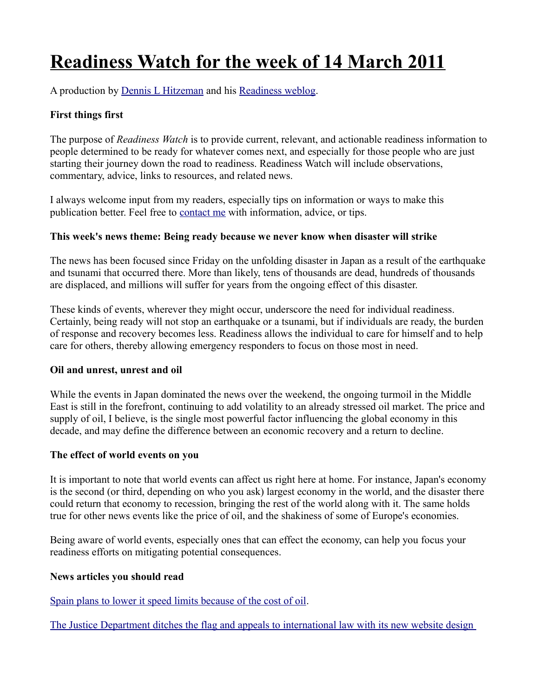# **Readiness Watch for the week of 14 March 2011**

A production by [Dennis L Hitzeman](http://dennis.hitzeman.com/readiness/contact/) and his [Readiness weblog.](http://dennis.hitzeman.com/readiness)

# **First things first**

The purpose of *Readiness Watch* is to provide current, relevant, and actionable readiness information to people determined to be ready for whatever comes next, and especially for those people who are just starting their journey down the road to readiness. Readiness Watch will include observations, commentary, advice, links to resources, and related news.

I always welcome input from my readers, especially tips on information or ways to make this publication better. Feel free to [contact me](http://dennis.hitzeman.com/readiness/contact/) with information, advice, or tips.

## **This week's news theme: Being ready because we never know when disaster will strike**

The news has been focused since Friday on the unfolding disaster in Japan as a result of the earthquake and tsunami that occurred there. More than likely, tens of thousands are dead, hundreds of thousands are displaced, and millions will suffer for years from the ongoing effect of this disaster.

These kinds of events, wherever they might occur, underscore the need for individual readiness. Certainly, being ready will not stop an earthquake or a tsunami, but if individuals are ready, the burden of response and recovery becomes less. Readiness allows the individual to care for himself and to help care for others, thereby allowing emergency responders to focus on those most in need.

## **Oil and unrest, unrest and oil**

While the events in Japan dominated the news over the weekend, the ongoing turmoil in the Middle East is still in the forefront, continuing to add volatility to an already stressed oil market. The price and supply of oil, I believe, is the single most powerful factor influencing the global economy in this decade, and may define the difference between an economic recovery and a return to decline.

## **The effect of world events on you**

It is important to note that world events can affect us right here at home. For instance, Japan's economy is the second (or third, depending on who you ask) largest economy in the world, and the disaster there could return that economy to recession, bringing the rest of the world along with it. The same holds true for other news events like the price of oil, and the shakiness of some of Europe's economies.

Being aware of world events, especially ones that can effect the economy, can help you focus your readiness efforts on mitigating potential consequences.

## **News articles you should read**

[Spain plans to lower it speed limits because of the cost of oil.](http://www.bbc.co.uk/news/world-europe-12663092%20)

[The Justice Department ditches the flag and appeals to international law with its new website design](http://www.americanthinker.com/blog/2010/08/department_of_justice_ditches.html)